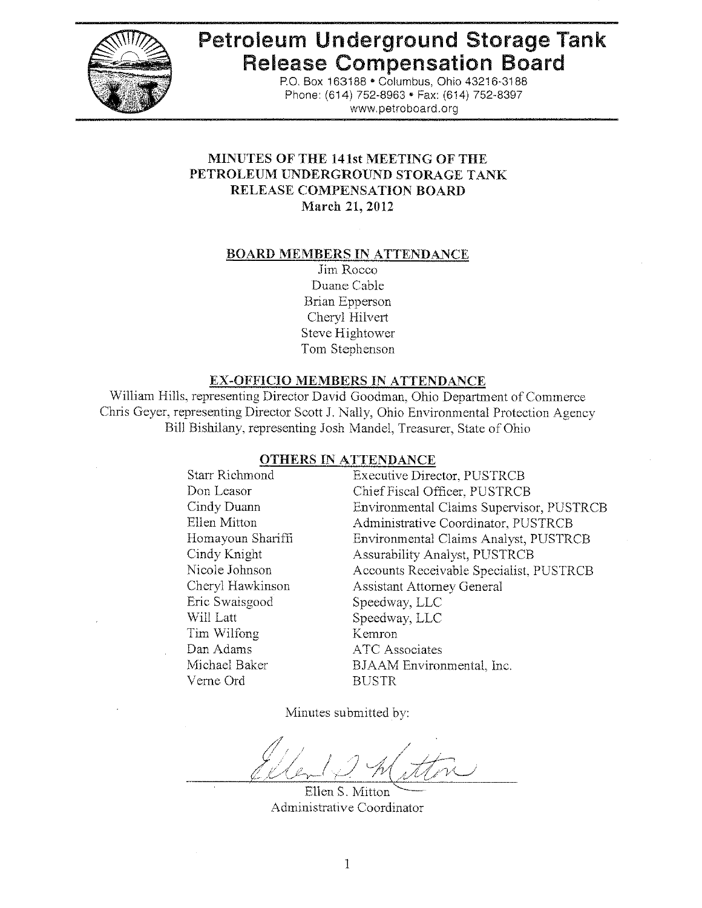

# **Petroleum Underground Storage Tank Release Compensation Board**

P.O. Box 163188 . Columbus, Ohio 43216-3188 Phone: (614) 752-8963 • Fax: (614) 752-8397 www.petroboard.org

## MINUTES OF THE 141st MEETING OF THE PETROLEUM UNDERGROUND STORAGE TANK **RELEASE COMPENSATION BOARD** March 21, 2012

#### **BOARD MEMBERS IN ATTENDANCE**

Jim Rocco Duane Cable **Brian Epperson** Cheryl Hilvert Steve Hightower Tom Stephenson

## **EX-OFFICIO MEMBERS IN ATTENDANCE**

William Hills, representing Director David Goodman, Ohio Department of Commerce Chris Geyer, representing Director Scott J. Nally, Ohio Environmental Protection Agency Bill Bishilany, representing Josh Mandel, Treasurer, State of Ohio

#### **OTHERS IN ATTENDANCE**

**Starr Richmond Executive Director, PUSTRCB** Don Leasor Chief Fiscal Officer, PUSTRCB Environmental Claims Supervisor, PUSTRCB Cindy Duann Ellen Mitton Administrative Coordinator, PUSTRCB Homayoun Shariffi Environmental Claims Analyst, PUSTRCB Cindy Knight Nicole Johnson Cheryl Hawkinson Eric Swaisgood Will Latt Tim Wilfong Kemron Dan Adams Michael Baker Verne Ord **BUSTR** 

**Assurability Analyst, PUSTRCB** Accounts Receivable Specialist, PUSTRCB **Assistant Attorney General** Speedway, LLC Speedway, LLC **ATC** Associates BJAAM Environmental, Inc.

Minutes submitted by:

**Ellen S. Mitton** Administrative Coordinator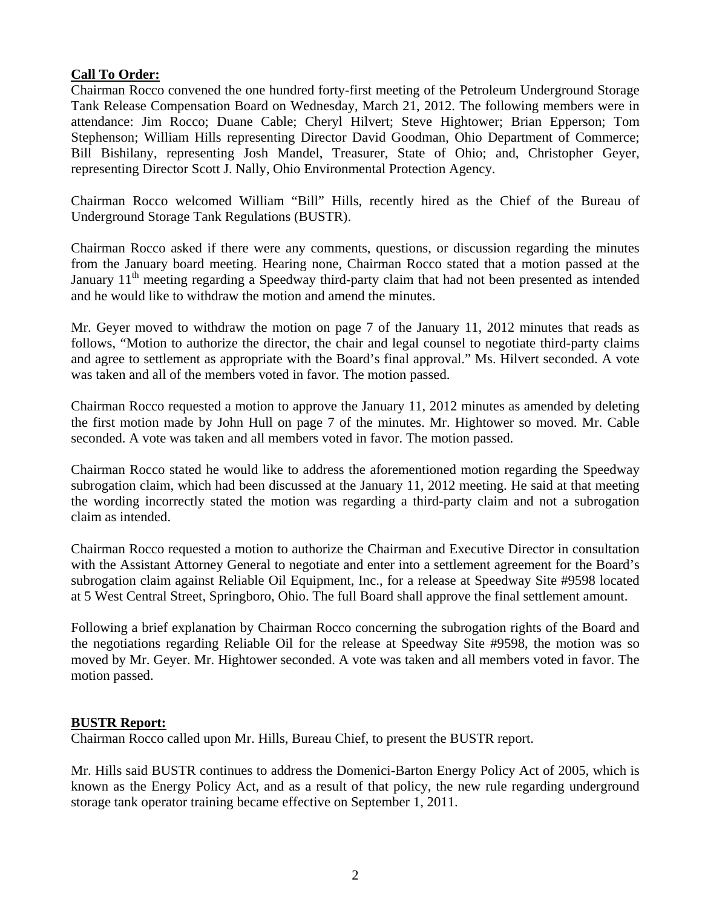#### **Call To Order:**

Chairman Rocco convened the one hundred forty-first meeting of the Petroleum Underground Storage Tank Release Compensation Board on Wednesday, March 21, 2012. The following members were in attendance: Jim Rocco; Duane Cable; Cheryl Hilvert; Steve Hightower; Brian Epperson; Tom Stephenson; William Hills representing Director David Goodman, Ohio Department of Commerce; Bill Bishilany, representing Josh Mandel, Treasurer, State of Ohio; and, Christopher Geyer, representing Director Scott J. Nally, Ohio Environmental Protection Agency.

Chairman Rocco welcomed William "Bill" Hills, recently hired as the Chief of the Bureau of Underground Storage Tank Regulations (BUSTR).

Chairman Rocco asked if there were any comments, questions, or discussion regarding the minutes from the January board meeting. Hearing none, Chairman Rocco stated that a motion passed at the January 11<sup>th</sup> meeting regarding a Speedway third-party claim that had not been presented as intended and he would like to withdraw the motion and amend the minutes.

Mr. Geyer moved to withdraw the motion on page 7 of the January 11, 2012 minutes that reads as follows, "Motion to authorize the director, the chair and legal counsel to negotiate third-party claims and agree to settlement as appropriate with the Board's final approval." Ms. Hilvert seconded. A vote was taken and all of the members voted in favor. The motion passed.

Chairman Rocco requested a motion to approve the January 11, 2012 minutes as amended by deleting the first motion made by John Hull on page 7 of the minutes. Mr. Hightower so moved. Mr. Cable seconded. A vote was taken and all members voted in favor. The motion passed.

Chairman Rocco stated he would like to address the aforementioned motion regarding the Speedway subrogation claim, which had been discussed at the January 11, 2012 meeting. He said at that meeting the wording incorrectly stated the motion was regarding a third-party claim and not a subrogation claim as intended.

Chairman Rocco requested a motion to authorize the Chairman and Executive Director in consultation with the Assistant Attorney General to negotiate and enter into a settlement agreement for the Board's subrogation claim against Reliable Oil Equipment, Inc., for a release at Speedway Site #9598 located at 5 West Central Street, Springboro, Ohio. The full Board shall approve the final settlement amount.

Following a brief explanation by Chairman Rocco concerning the subrogation rights of the Board and the negotiations regarding Reliable Oil for the release at Speedway Site #9598, the motion was so moved by Mr. Geyer. Mr. Hightower seconded. A vote was taken and all members voted in favor. The motion passed.

## **BUSTR Report:**

Chairman Rocco called upon Mr. Hills, Bureau Chief, to present the BUSTR report.

Mr. Hills said BUSTR continues to address the Domenici-Barton Energy Policy Act of 2005, which is known as the Energy Policy Act, and as a result of that policy, the new rule regarding underground storage tank operator training became effective on September 1, 2011.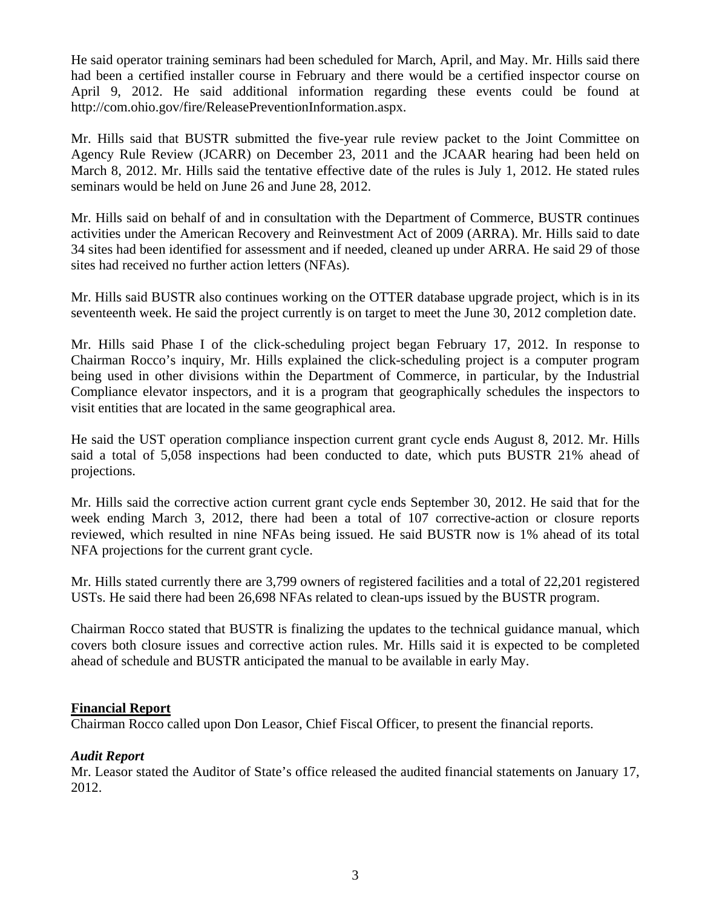He said operator training seminars had been scheduled for March, April, and May. Mr. Hills said there had been a certified installer course in February and there would be a certified inspector course on April 9, 2012. He said additional information regarding these events could be found at http://com.ohio.gov/fire/ReleasePreventionInformation.aspx.

Mr. Hills said that BUSTR submitted the five-year rule review packet to the Joint Committee on Agency Rule Review (JCARR) on December 23, 2011 and the JCAAR hearing had been held on March 8, 2012. Mr. Hills said the tentative effective date of the rules is July 1, 2012. He stated rules seminars would be held on June 26 and June 28, 2012.

Mr. Hills said on behalf of and in consultation with the Department of Commerce, BUSTR continues activities under the American Recovery and Reinvestment Act of 2009 (ARRA). Mr. Hills said to date 34 sites had been identified for assessment and if needed, cleaned up under ARRA. He said 29 of those sites had received no further action letters (NFAs).

Mr. Hills said BUSTR also continues working on the OTTER database upgrade project, which is in its seventeenth week. He said the project currently is on target to meet the June 30, 2012 completion date.

Mr. Hills said Phase I of the click-scheduling project began February 17, 2012. In response to Chairman Rocco's inquiry, Mr. Hills explained the click-scheduling project is a computer program being used in other divisions within the Department of Commerce, in particular, by the Industrial Compliance elevator inspectors, and it is a program that geographically schedules the inspectors to visit entities that are located in the same geographical area.

He said the UST operation compliance inspection current grant cycle ends August 8, 2012. Mr. Hills said a total of 5,058 inspections had been conducted to date, which puts BUSTR 21% ahead of projections.

Mr. Hills said the corrective action current grant cycle ends September 30, 2012. He said that for the week ending March 3, 2012, there had been a total of 107 corrective-action or closure reports reviewed, which resulted in nine NFAs being issued. He said BUSTR now is 1% ahead of its total NFA projections for the current grant cycle.

Mr. Hills stated currently there are 3,799 owners of registered facilities and a total of 22,201 registered USTs. He said there had been 26,698 NFAs related to clean-ups issued by the BUSTR program.

Chairman Rocco stated that BUSTR is finalizing the updates to the technical guidance manual, which covers both closure issues and corrective action rules. Mr. Hills said it is expected to be completed ahead of schedule and BUSTR anticipated the manual to be available in early May.

#### **Financial Report**

Chairman Rocco called upon Don Leasor, Chief Fiscal Officer, to present the financial reports.

#### *Audit Report*

Mr. Leasor stated the Auditor of State's office released the audited financial statements on January 17, 2012.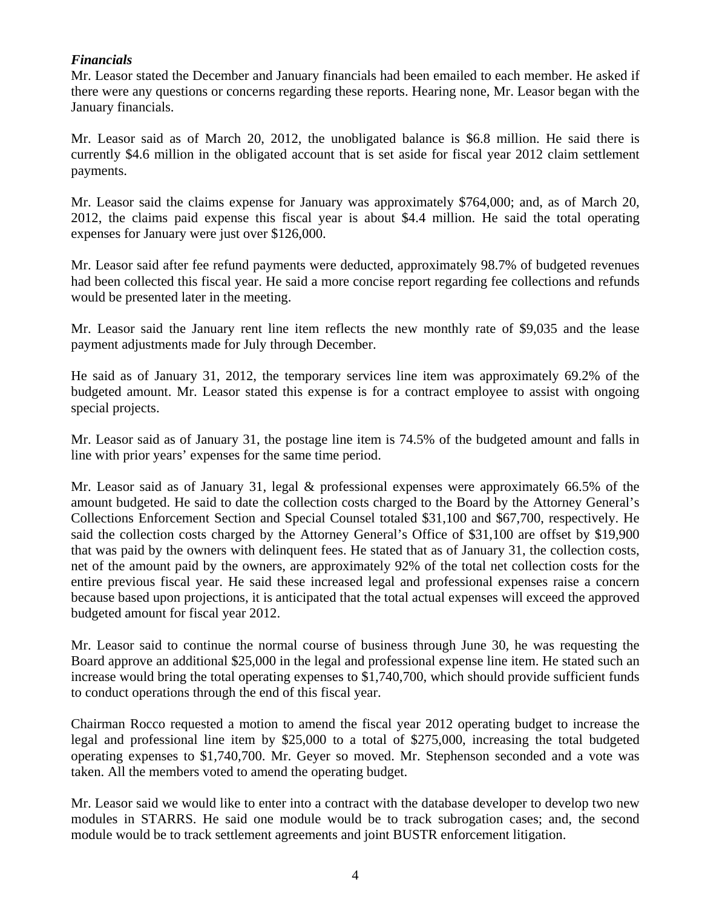## *Financials*

Mr. Leasor stated the December and January financials had been emailed to each member. He asked if there were any questions or concerns regarding these reports. Hearing none, Mr. Leasor began with the January financials.

Mr. Leasor said as of March 20, 2012, the unobligated balance is \$6.8 million. He said there is currently \$4.6 million in the obligated account that is set aside for fiscal year 2012 claim settlement payments.

Mr. Leasor said the claims expense for January was approximately \$764,000; and, as of March 20, 2012, the claims paid expense this fiscal year is about \$4.4 million. He said the total operating expenses for January were just over \$126,000.

Mr. Leasor said after fee refund payments were deducted, approximately 98.7% of budgeted revenues had been collected this fiscal year. He said a more concise report regarding fee collections and refunds would be presented later in the meeting.

Mr. Leasor said the January rent line item reflects the new monthly rate of \$9,035 and the lease payment adjustments made for July through December.

He said as of January 31, 2012, the temporary services line item was approximately 69.2% of the budgeted amount. Mr. Leasor stated this expense is for a contract employee to assist with ongoing special projects.

Mr. Leasor said as of January 31, the postage line item is 74.5% of the budgeted amount and falls in line with prior years' expenses for the same time period.

Mr. Leasor said as of January 31, legal & professional expenses were approximately 66.5% of the amount budgeted. He said to date the collection costs charged to the Board by the Attorney General's Collections Enforcement Section and Special Counsel totaled \$31,100 and \$67,700, respectively. He said the collection costs charged by the Attorney General's Office of \$31,100 are offset by \$19,900 that was paid by the owners with delinquent fees. He stated that as of January 31, the collection costs, net of the amount paid by the owners, are approximately 92% of the total net collection costs for the entire previous fiscal year. He said these increased legal and professional expenses raise a concern because based upon projections, it is anticipated that the total actual expenses will exceed the approved budgeted amount for fiscal year 2012.

Mr. Leasor said to continue the normal course of business through June 30, he was requesting the Board approve an additional \$25,000 in the legal and professional expense line item. He stated such an increase would bring the total operating expenses to \$1,740,700, which should provide sufficient funds to conduct operations through the end of this fiscal year.

Chairman Rocco requested a motion to amend the fiscal year 2012 operating budget to increase the legal and professional line item by \$25,000 to a total of \$275,000, increasing the total budgeted operating expenses to \$1,740,700. Mr. Geyer so moved. Mr. Stephenson seconded and a vote was taken. All the members voted to amend the operating budget.

Mr. Leasor said we would like to enter into a contract with the database developer to develop two new modules in STARRS. He said one module would be to track subrogation cases; and, the second module would be to track settlement agreements and joint BUSTR enforcement litigation.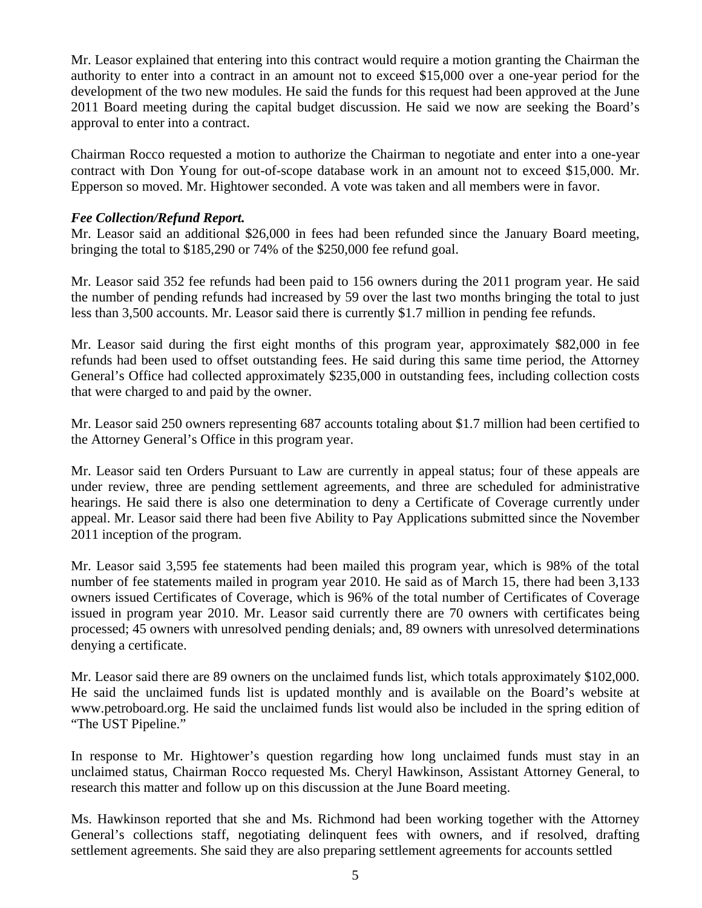Mr. Leasor explained that entering into this contract would require a motion granting the Chairman the authority to enter into a contract in an amount not to exceed \$15,000 over a one-year period for the development of the two new modules. He said the funds for this request had been approved at the June 2011 Board meeting during the capital budget discussion. He said we now are seeking the Board's approval to enter into a contract.

Chairman Rocco requested a motion to authorize the Chairman to negotiate and enter into a one-year contract with Don Young for out-of-scope database work in an amount not to exceed \$15,000. Mr. Epperson so moved. Mr. Hightower seconded. A vote was taken and all members were in favor.

#### *Fee Collection/Refund Report.*

Mr. Leasor said an additional \$26,000 in fees had been refunded since the January Board meeting, bringing the total to \$185,290 or 74% of the \$250,000 fee refund goal.

Mr. Leasor said 352 fee refunds had been paid to 156 owners during the 2011 program year. He said the number of pending refunds had increased by 59 over the last two months bringing the total to just less than 3,500 accounts. Mr. Leasor said there is currently \$1.7 million in pending fee refunds.

Mr. Leasor said during the first eight months of this program year, approximately \$82,000 in fee refunds had been used to offset outstanding fees. He said during this same time period, the Attorney General's Office had collected approximately \$235,000 in outstanding fees, including collection costs that were charged to and paid by the owner.

Mr. Leasor said 250 owners representing 687 accounts totaling about \$1.7 million had been certified to the Attorney General's Office in this program year.

Mr. Leasor said ten Orders Pursuant to Law are currently in appeal status; four of these appeals are under review, three are pending settlement agreements, and three are scheduled for administrative hearings. He said there is also one determination to deny a Certificate of Coverage currently under appeal. Mr. Leasor said there had been five Ability to Pay Applications submitted since the November 2011 inception of the program.

Mr. Leasor said 3,595 fee statements had been mailed this program year, which is 98% of the total number of fee statements mailed in program year 2010. He said as of March 15, there had been 3,133 owners issued Certificates of Coverage, which is 96% of the total number of Certificates of Coverage issued in program year 2010. Mr. Leasor said currently there are 70 owners with certificates being processed; 45 owners with unresolved pending denials; and, 89 owners with unresolved determinations denying a certificate.

Mr. Leasor said there are 89 owners on the unclaimed funds list, which totals approximately \$102,000. He said the unclaimed funds list is updated monthly and is available on the Board's website at www.petroboard.org. He said the unclaimed funds list would also be included in the spring edition of "The UST Pipeline."

In response to Mr. Hightower's question regarding how long unclaimed funds must stay in an unclaimed status, Chairman Rocco requested Ms. Cheryl Hawkinson, Assistant Attorney General, to research this matter and follow up on this discussion at the June Board meeting.

Ms. Hawkinson reported that she and Ms. Richmond had been working together with the Attorney General's collections staff, negotiating delinquent fees with owners, and if resolved, drafting settlement agreements. She said they are also preparing settlement agreements for accounts settled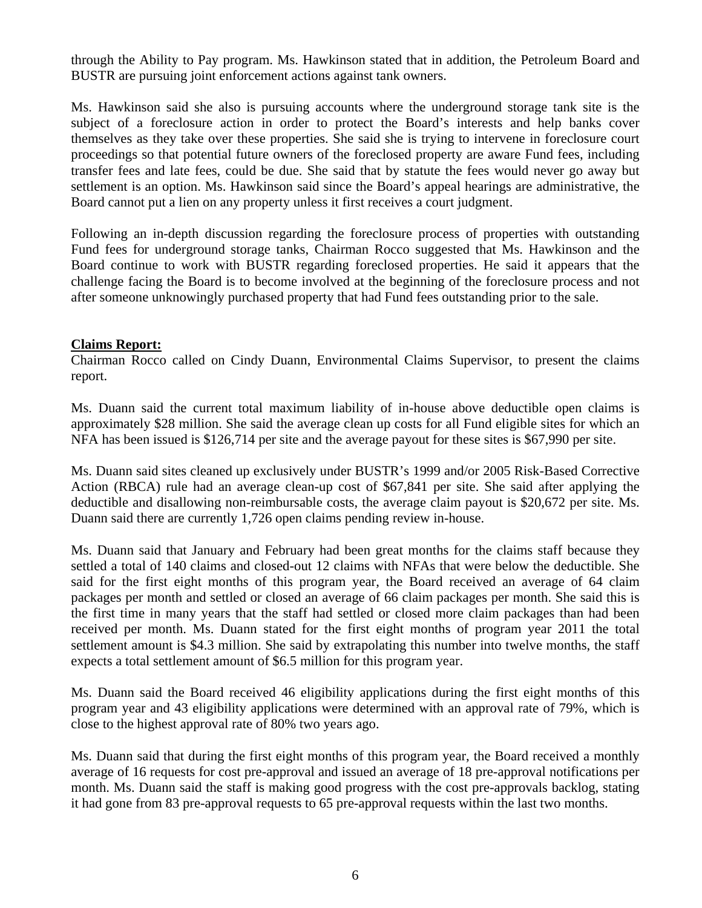through the Ability to Pay program. Ms. Hawkinson stated that in addition, the Petroleum Board and BUSTR are pursuing joint enforcement actions against tank owners.

Ms. Hawkinson said she also is pursuing accounts where the underground storage tank site is the subject of a foreclosure action in order to protect the Board's interests and help banks cover themselves as they take over these properties. She said she is trying to intervene in foreclosure court proceedings so that potential future owners of the foreclosed property are aware Fund fees, including transfer fees and late fees, could be due. She said that by statute the fees would never go away but settlement is an option. Ms. Hawkinson said since the Board's appeal hearings are administrative, the Board cannot put a lien on any property unless it first receives a court judgment.

Following an in-depth discussion regarding the foreclosure process of properties with outstanding Fund fees for underground storage tanks, Chairman Rocco suggested that Ms. Hawkinson and the Board continue to work with BUSTR regarding foreclosed properties. He said it appears that the challenge facing the Board is to become involved at the beginning of the foreclosure process and not after someone unknowingly purchased property that had Fund fees outstanding prior to the sale.

#### **Claims Report:**

Chairman Rocco called on Cindy Duann, Environmental Claims Supervisor, to present the claims report.

Ms. Duann said the current total maximum liability of in-house above deductible open claims is approximately \$28 million. She said the average clean up costs for all Fund eligible sites for which an NFA has been issued is \$126,714 per site and the average payout for these sites is \$67,990 per site.

Ms. Duann said sites cleaned up exclusively under BUSTR's 1999 and/or 2005 Risk-Based Corrective Action (RBCA) rule had an average clean-up cost of \$67,841 per site. She said after applying the deductible and disallowing non-reimbursable costs, the average claim payout is \$20,672 per site. Ms. Duann said there are currently 1,726 open claims pending review in-house.

Ms. Duann said that January and February had been great months for the claims staff because they settled a total of 140 claims and closed-out 12 claims with NFAs that were below the deductible. She said for the first eight months of this program year, the Board received an average of 64 claim packages per month and settled or closed an average of 66 claim packages per month. She said this is the first time in many years that the staff had settled or closed more claim packages than had been received per month. Ms. Duann stated for the first eight months of program year 2011 the total settlement amount is \$4.3 million. She said by extrapolating this number into twelve months, the staff expects a total settlement amount of \$6.5 million for this program year.

Ms. Duann said the Board received 46 eligibility applications during the first eight months of this program year and 43 eligibility applications were determined with an approval rate of 79%, which is close to the highest approval rate of 80% two years ago.

Ms. Duann said that during the first eight months of this program year, the Board received a monthly average of 16 requests for cost pre-approval and issued an average of 18 pre-approval notifications per month. Ms. Duann said the staff is making good progress with the cost pre-approvals backlog, stating it had gone from 83 pre-approval requests to 65 pre-approval requests within the last two months.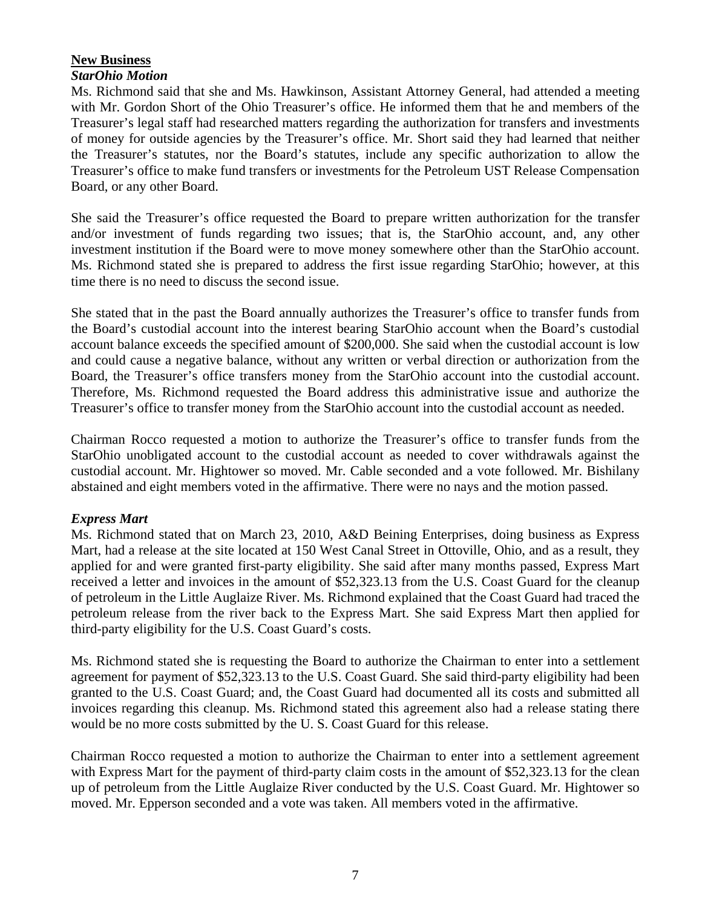## **New Business**

## *StarOhio Motion*

Ms. Richmond said that she and Ms. Hawkinson, Assistant Attorney General, had attended a meeting with Mr. Gordon Short of the Ohio Treasurer's office. He informed them that he and members of the Treasurer's legal staff had researched matters regarding the authorization for transfers and investments of money for outside agencies by the Treasurer's office. Mr. Short said they had learned that neither the Treasurer's statutes, nor the Board's statutes, include any specific authorization to allow the Treasurer's office to make fund transfers or investments for the Petroleum UST Release Compensation Board, or any other Board.

She said the Treasurer's office requested the Board to prepare written authorization for the transfer and/or investment of funds regarding two issues; that is, the StarOhio account, and, any other investment institution if the Board were to move money somewhere other than the StarOhio account. Ms. Richmond stated she is prepared to address the first issue regarding StarOhio; however, at this time there is no need to discuss the second issue.

She stated that in the past the Board annually authorizes the Treasurer's office to transfer funds from the Board's custodial account into the interest bearing StarOhio account when the Board's custodial account balance exceeds the specified amount of \$200,000. She said when the custodial account is low and could cause a negative balance, without any written or verbal direction or authorization from the Board, the Treasurer's office transfers money from the StarOhio account into the custodial account. Therefore, Ms. Richmond requested the Board address this administrative issue and authorize the Treasurer's office to transfer money from the StarOhio account into the custodial account as needed.

Chairman Rocco requested a motion to authorize the Treasurer's office to transfer funds from the StarOhio unobligated account to the custodial account as needed to cover withdrawals against the custodial account. Mr. Hightower so moved. Mr. Cable seconded and a vote followed. Mr. Bishilany abstained and eight members voted in the affirmative. There were no nays and the motion passed.

## *Express Mart*

Ms. Richmond stated that on March 23, 2010, A&D Beining Enterprises, doing business as Express Mart, had a release at the site located at 150 West Canal Street in Ottoville, Ohio, and as a result, they applied for and were granted first-party eligibility. She said after many months passed, Express Mart received a letter and invoices in the amount of \$52,323.13 from the U.S. Coast Guard for the cleanup of petroleum in the Little Auglaize River. Ms. Richmond explained that the Coast Guard had traced the petroleum release from the river back to the Express Mart. She said Express Mart then applied for third-party eligibility for the U.S. Coast Guard's costs.

Ms. Richmond stated she is requesting the Board to authorize the Chairman to enter into a settlement agreement for payment of \$52,323.13 to the U.S. Coast Guard. She said third-party eligibility had been granted to the U.S. Coast Guard; and, the Coast Guard had documented all its costs and submitted all invoices regarding this cleanup. Ms. Richmond stated this agreement also had a release stating there would be no more costs submitted by the U. S. Coast Guard for this release.

Chairman Rocco requested a motion to authorize the Chairman to enter into a settlement agreement with Express Mart for the payment of third-party claim costs in the amount of \$52,323.13 for the clean up of petroleum from the Little Auglaize River conducted by the U.S. Coast Guard. Mr. Hightower so moved. Mr. Epperson seconded and a vote was taken. All members voted in the affirmative.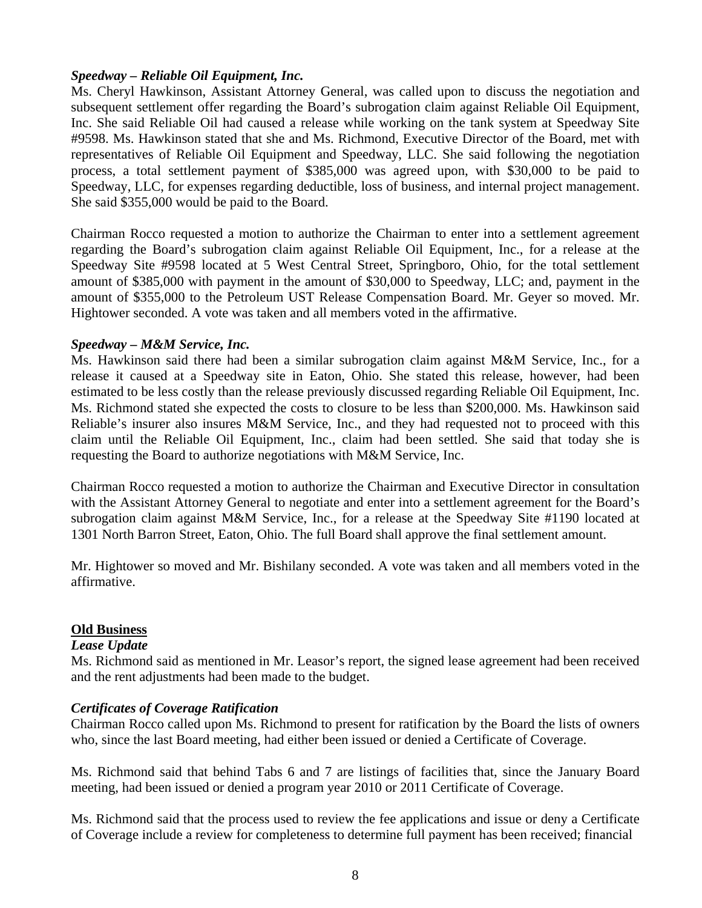## *Speedway – Reliable Oil Equipment, Inc.*

Ms. Cheryl Hawkinson, Assistant Attorney General, was called upon to discuss the negotiation and subsequent settlement offer regarding the Board's subrogation claim against Reliable Oil Equipment, Inc. She said Reliable Oil had caused a release while working on the tank system at Speedway Site #9598. Ms. Hawkinson stated that she and Ms. Richmond, Executive Director of the Board, met with representatives of Reliable Oil Equipment and Speedway, LLC. She said following the negotiation process, a total settlement payment of \$385,000 was agreed upon, with \$30,000 to be paid to Speedway, LLC, for expenses regarding deductible, loss of business, and internal project management. She said \$355,000 would be paid to the Board.

Chairman Rocco requested a motion to authorize the Chairman to enter into a settlement agreement regarding the Board's subrogation claim against Reliable Oil Equipment, Inc., for a release at the Speedway Site #9598 located at 5 West Central Street, Springboro, Ohio, for the total settlement amount of \$385,000 with payment in the amount of \$30,000 to Speedway, LLC; and, payment in the amount of \$355,000 to the Petroleum UST Release Compensation Board. Mr. Geyer so moved. Mr. Hightower seconded. A vote was taken and all members voted in the affirmative.

#### *Speedway – M&M Service, Inc.*

Ms. Hawkinson said there had been a similar subrogation claim against M&M Service, Inc., for a release it caused at a Speedway site in Eaton, Ohio. She stated this release, however, had been estimated to be less costly than the release previously discussed regarding Reliable Oil Equipment, Inc. Ms. Richmond stated she expected the costs to closure to be less than \$200,000. Ms. Hawkinson said Reliable's insurer also insures M&M Service, Inc., and they had requested not to proceed with this claim until the Reliable Oil Equipment, Inc., claim had been settled. She said that today she is requesting the Board to authorize negotiations with M&M Service, Inc.

Chairman Rocco requested a motion to authorize the Chairman and Executive Director in consultation with the Assistant Attorney General to negotiate and enter into a settlement agreement for the Board's subrogation claim against M&M Service, Inc., for a release at the Speedway Site #1190 located at 1301 North Barron Street, Eaton, Ohio. The full Board shall approve the final settlement amount.

Mr. Hightower so moved and Mr. Bishilany seconded. A vote was taken and all members voted in the affirmative.

#### **Old Business**

#### *Lease Update*

Ms. Richmond said as mentioned in Mr. Leasor's report, the signed lease agreement had been received and the rent adjustments had been made to the budget.

#### *Certificates of Coverage Ratification*

Chairman Rocco called upon Ms. Richmond to present for ratification by the Board the lists of owners who, since the last Board meeting, had either been issued or denied a Certificate of Coverage.

Ms. Richmond said that behind Tabs 6 and 7 are listings of facilities that, since the January Board meeting, had been issued or denied a program year 2010 or 2011 Certificate of Coverage.

Ms. Richmond said that the process used to review the fee applications and issue or deny a Certificate of Coverage include a review for completeness to determine full payment has been received; financial